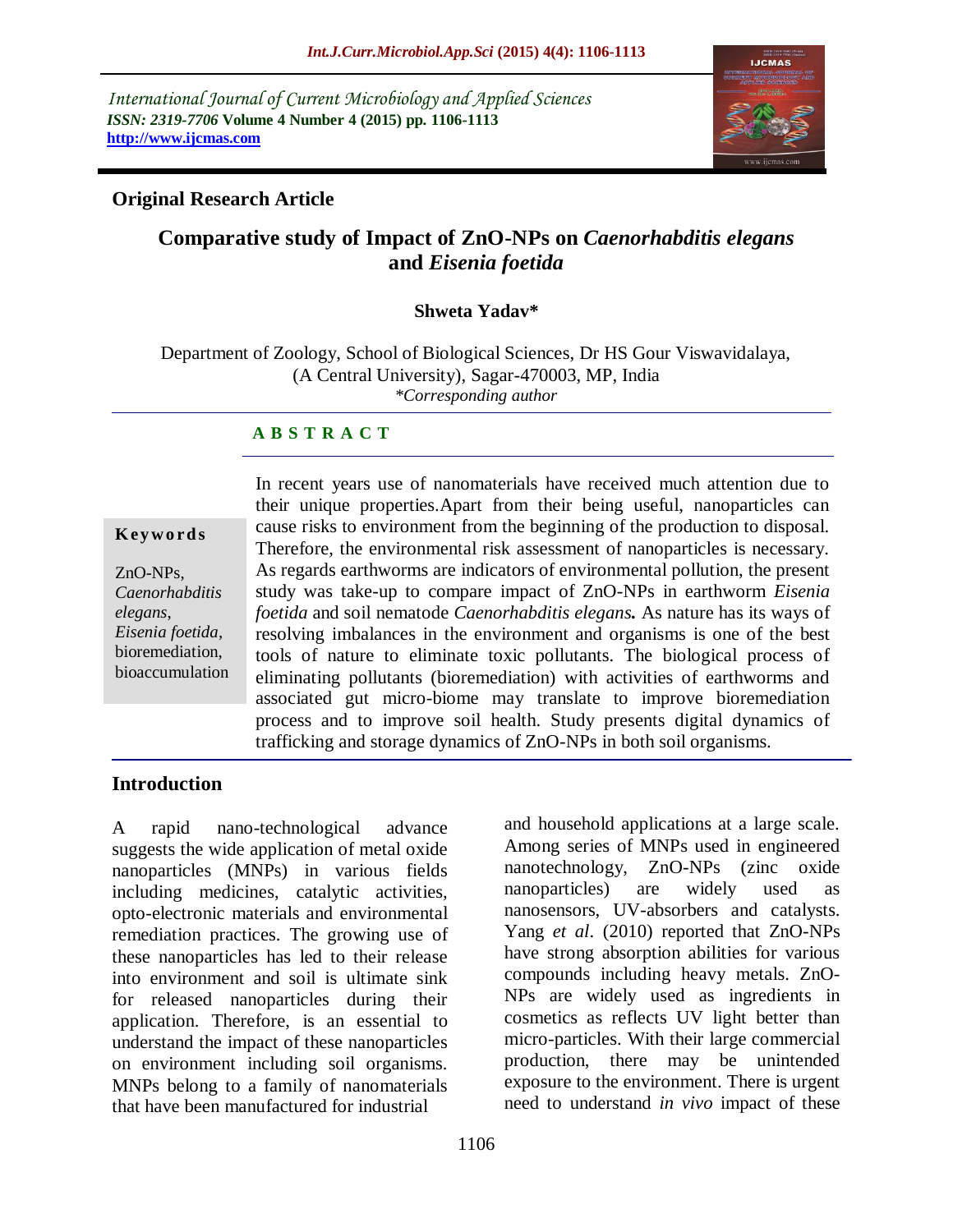*International Journal of Current Microbiology and Applied Sciences ISSN: 2319-7706* **Volume 4 Number 4 (2015) pp. 1106-1113 http://www.ijcmas.com**



## **Original Research Article**

# **Comparative study of Impact of ZnO-NPs on** *Caenorhabditis elegans* **and** *Eisenia foetida*

### **Shweta Yadav\***

Department of Zoology, School of Biological Sciences, Dr HS Gour Viswavidalaya, (A Central University), Sagar-470003, MP, India *\*Corresponding author*

### **A B S T R A C T**

#### **K ey w o rd s**

ZnO-NPs, *Caenorhabditis elegans*, *Eisenia foetida*, bioremediation, bioaccumulation

In recent years use of nanomaterials have received much attention due to their unique properties.Apart from their being useful, nanoparticles can cause risks to environment from the beginning of the production to disposal. Therefore, the environmental risk assessment of nanoparticles is necessary. As regards earthworms are indicators of environmental pollution, the present study was take-up to compare impact of ZnO-NPs in earthworm *Eisenia foetida* and soil nematode *Caenorhabditis elegans.* As nature has its ways of resolving imbalances in the environment and organisms is one of the best tools of nature to eliminate toxic pollutants. The biological process of eliminating pollutants (bioremediation) with activities of earthworms and associated gut micro-biome may translate to improve bioremediation process and to improve soil health. Study presents digital dynamics of trafficking and storage dynamics of ZnO-NPs in both soil organisms.

#### **Introduction**

A rapid nano-technological advance suggests the wide application of metal oxide nanoparticles (MNPs) in various fields including medicines, catalytic activities, opto-electronic materials and environmental remediation practices. The growing use of these nanoparticles has led to their release into environment and soil is ultimate sink for released nanoparticles during their application. Therefore, is an essential to understand the impact of these nanoparticles on environment including soil organisms. MNPs belong to a family of nanomaterials that have been manufactured for industrial

and household applications at a large scale. Among series of MNPs used in engineered nanotechnology, ZnO-NPs (zinc oxide nanoparticles) are widely used as nanosensors, UV-absorbers and catalysts. Yang *et al*. (2010) reported that ZnO-NPs have strong absorption abilities for various compounds including heavy metals. ZnO-NPs are widely used as ingredients in cosmetics as reflects UV light better than micro-particles. With their large commercial production, there may be unintended exposure to the environment. There is urgent need to understand *in vivo* impact of these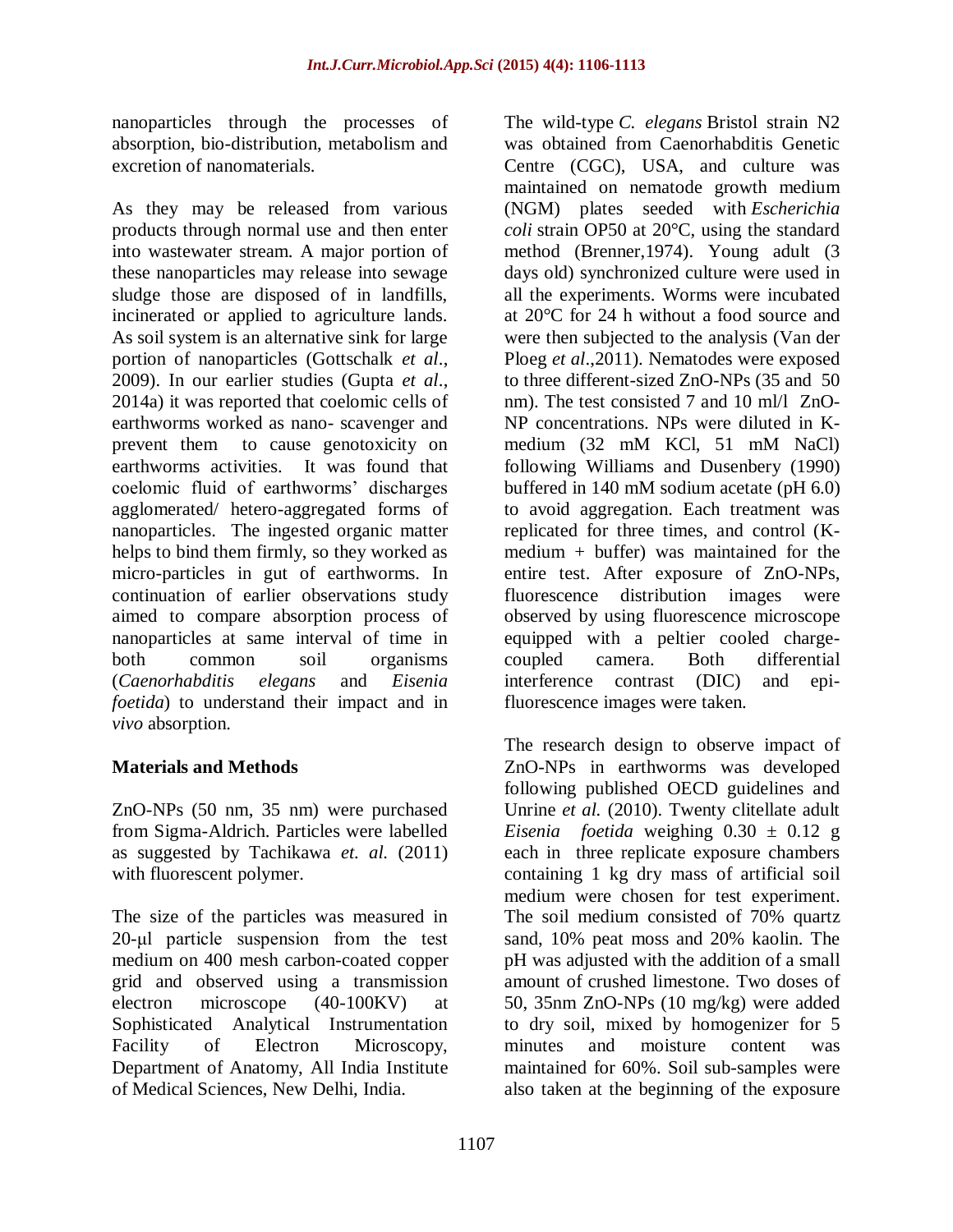nanoparticles through the processes of absorption, bio-distribution, metabolism and excretion of nanomaterials.

As they may be released from various products through normal use and then enter into wastewater stream. A major portion of these nanoparticles may release into sewage sludge those are disposed of in landfills, incinerated or applied to agriculture lands. As soil system is an alternative sink for large portion of nanoparticles (Gottschalk *et al*., 2009). In our earlier studies (Gupta *et al*., 2014a) it was reported that coelomic cells of earthworms worked as nano- scavenger and prevent them to cause genotoxicity on earthworms activities. It was found that coelomic fluid of earthworms' discharges agglomerated/ hetero-aggregated forms of nanoparticles. The ingested organic matter helps to bind them firmly, so they worked as micro-particles in gut of earthworms. In continuation of earlier observations study aimed to compare absorption process of nanoparticles at same interval of time in both common soil organisms (*Caenorhabditis elegans* and *Eisenia foetida*) to understand their impact and in *vivo* absorption.

### **Materials and Methods**

ZnO-NPs (50 nm, 35 nm) were purchased from Sigma-Aldrich. Particles were labelled as suggested by Tachikawa *et. al.* (2011) with fluorescent polymer.

The size of the particles was measured in 20-μl particle suspension from the test medium on 400 mesh carbon-coated copper grid and observed using a transmission electron microscope (40-100KV) at Sophisticated Analytical Instrumentation Facility of Electron Microscopy, Department of Anatomy, All India Institute of Medical Sciences, New Delhi, India.

The wild-type *C. elegans* Bristol strain N2 was obtained from Caenorhabditis Genetic Centre (CGC), USA, and culture was maintained on nematode growth medium (NGM) plates seeded with *Escherichia coli* strain OP50 at 20°C, using the standard method (Brenner,1974). Young adult (3 days old) synchronized culture were used in all the experiments. Worms were incubated at 20°C for 24 h without a food source and were then subjected to the analysis (Van der Ploeg *et al*.,2011). Nematodes were exposed to three different-sized ZnO-NPs (35 and 50 nm). The test consisted 7 and 10 ml/l ZnO-NP concentrations. NPs were diluted in Kmedium (32 mM KCl, 51 mM NaCl) following Williams and Dusenbery (1990) buffered in 140 mM sodium acetate (pH 6.0) to avoid aggregation. Each treatment was replicated for three times, and control (Kmedium + buffer) was maintained for the entire test. After exposure of ZnO-NPs, fluorescence distribution images were observed by using fluorescence microscope equipped with a peltier cooled chargecoupled camera. Both differential interference contrast (DIC) and epifluorescence images were taken.

The research design to observe impact of ZnO-NPs in earthworms was developed following published OECD guidelines and Unrine *et al.* (2010). Twenty clitellate adult *Eisenia foetida* weighing  $0.30 \pm 0.12$  g each in three replicate exposure chambers containing 1 kg dry mass of artificial soil medium were chosen for test experiment. The soil medium consisted of 70% quartz sand, 10% peat moss and 20% kaolin. The pH was adjusted with the addition of a small amount of crushed limestone. Two doses of 50, 35nm ZnO-NPs (10 mg/kg) were added to dry soil, mixed by homogenizer for 5 minutes and moisture content was maintained for 60%. Soil sub-samples were also taken at the beginning of the exposure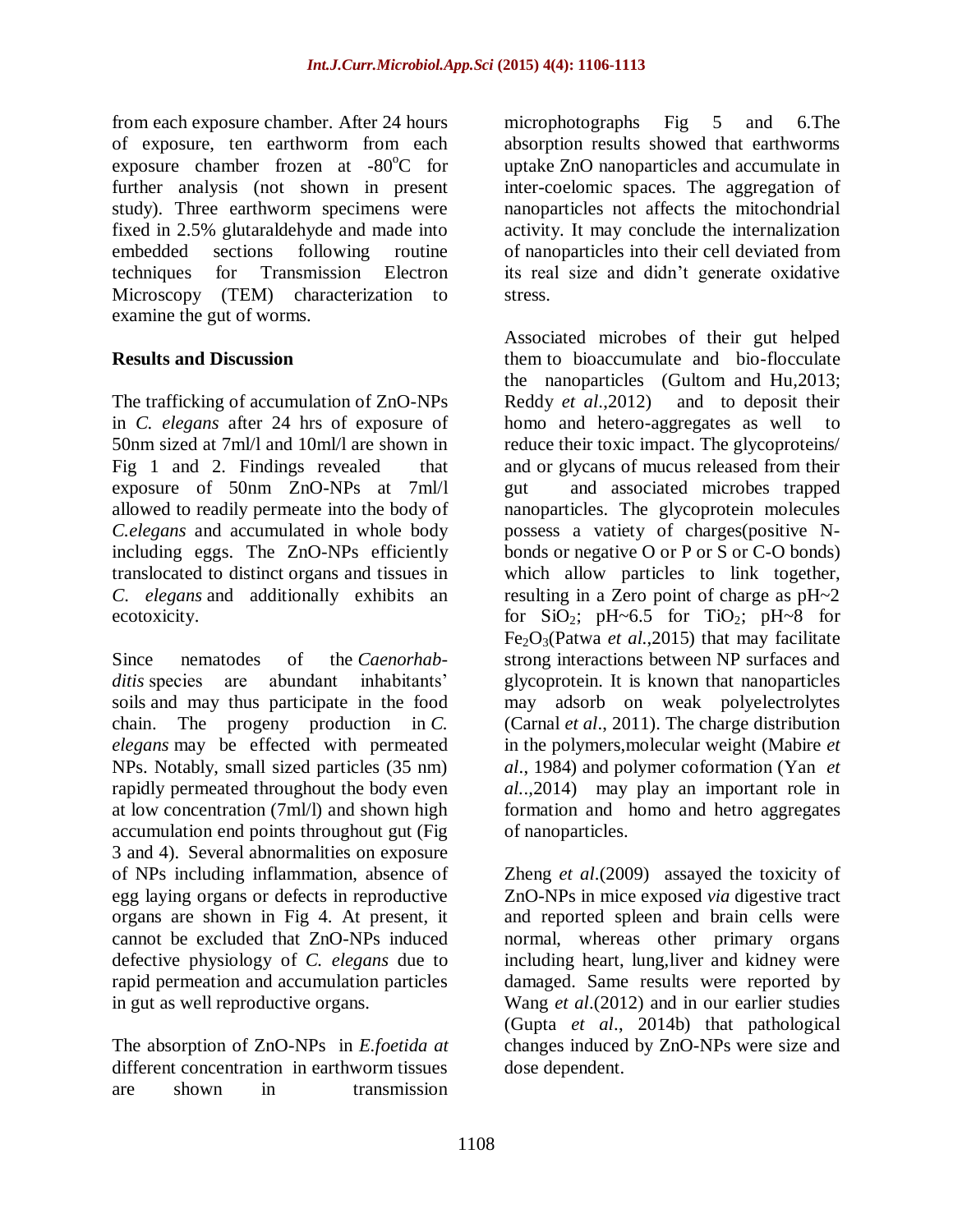from each exposure chamber. After 24 hours of exposure, ten earthworm from each exposure chamber frozen at  $-80^{\circ}$ C for further analysis (not shown in present study). Three earthworm specimens were fixed in 2.5% glutaraldehyde and made into embedded sections following routine techniques for Transmission Electron Microscopy (TEM) characterization to examine the gut of worms.

### **Results and Discussion**

The trafficking of accumulation of ZnO-NPs in *C. elegans* after 24 hrs of exposure of 50nm sized at 7ml/l and 10ml/l are shown in Fig 1 and 2. Findings revealed that exposure of 50nm ZnO-NPs at 7ml/l allowed to readily permeate into the body of *C.elegans* and accumulated in whole body including eggs. The ZnO-NPs efficiently translocated to distinct organs and tissues in *C*. *elegans* and additionally exhibits an ecotoxicity.

Since nematodes of the *Caenorhabditis* species are abundant inhabitants' soils and may thus participate in the food chain. The progeny production in *C. elegans* may be effected with permeated NPs. Notably, small sized particles (35 nm) rapidly permeated throughout the body even at low concentration (7ml/l) and shown high accumulation end points throughout gut (Fig 3 and 4). Several abnormalities on exposure of NPs including inflammation, absence of egg laying organs or defects in reproductive organs are shown in Fig 4. At present, it cannot be excluded that ZnO-NPs induced defective physiology of *C. elegans* due to rapid permeation and accumulation particles in gut as well reproductive organs.

The absorption of ZnO-NPs in *E.foetida at*  different concentration in earthworm tissues are shown in transmission

microphotographs Fig 5 and 6.The absorption results showed that earthworms uptake ZnO nanoparticles and accumulate in inter-coelomic spaces. The aggregation of nanoparticles not affects the mitochondrial activity. It may conclude the internalization of nanoparticles into their cell deviated from its real size and didn't generate oxidative stress.

Associated microbes of their gut helped them to bioaccumulate and bio-flocculate the nanoparticles (Gultom and Hu*,*2013; Reddy *et al*.,2012) and to deposit their homo and hetero-aggregates as well to reduce their toxic impact. The glycoproteins/ and or glycans of mucus released from their gut and associated microbes trapped nanoparticles. The glycoprotein molecules possess a vatiety of charges(positive Nbonds or negative O or P or S or C-O bonds) which allow particles to link together, resulting in a Zero point of charge as pH~2 for  $SiO_2$ ; pH~6.5 for  $TiO_2$ ; pH~8 for  $Fe<sub>2</sub>O<sub>3</sub>(Patwa *et al.*, 2015) that may facilitate$ strong interactions between NP surfaces and glycoprotein. It is known that nanoparticles may adsorb on weak polyelectrolytes (Carnal *et al*., 2011). The charge distribution in the polymers,molecular weight (Mabire *et al*., 1984) and polymer coformation (Yan *et al.*.*,*2014) may play an important role in formation and homo and hetro aggregates of nanoparticles.

Zheng *et al*.(2009) assayed the toxicity of ZnO-NPs in mice exposed *via* digestive tract and reported spleen and brain cells were normal, whereas other primary organs including heart, lung,liver and kidney were damaged. Same results were reported by Wang *et al*.(2012) and in our earlier studies (Gupta *et al*., 2014b) that pathological changes induced by ZnO-NPs were size and dose dependent.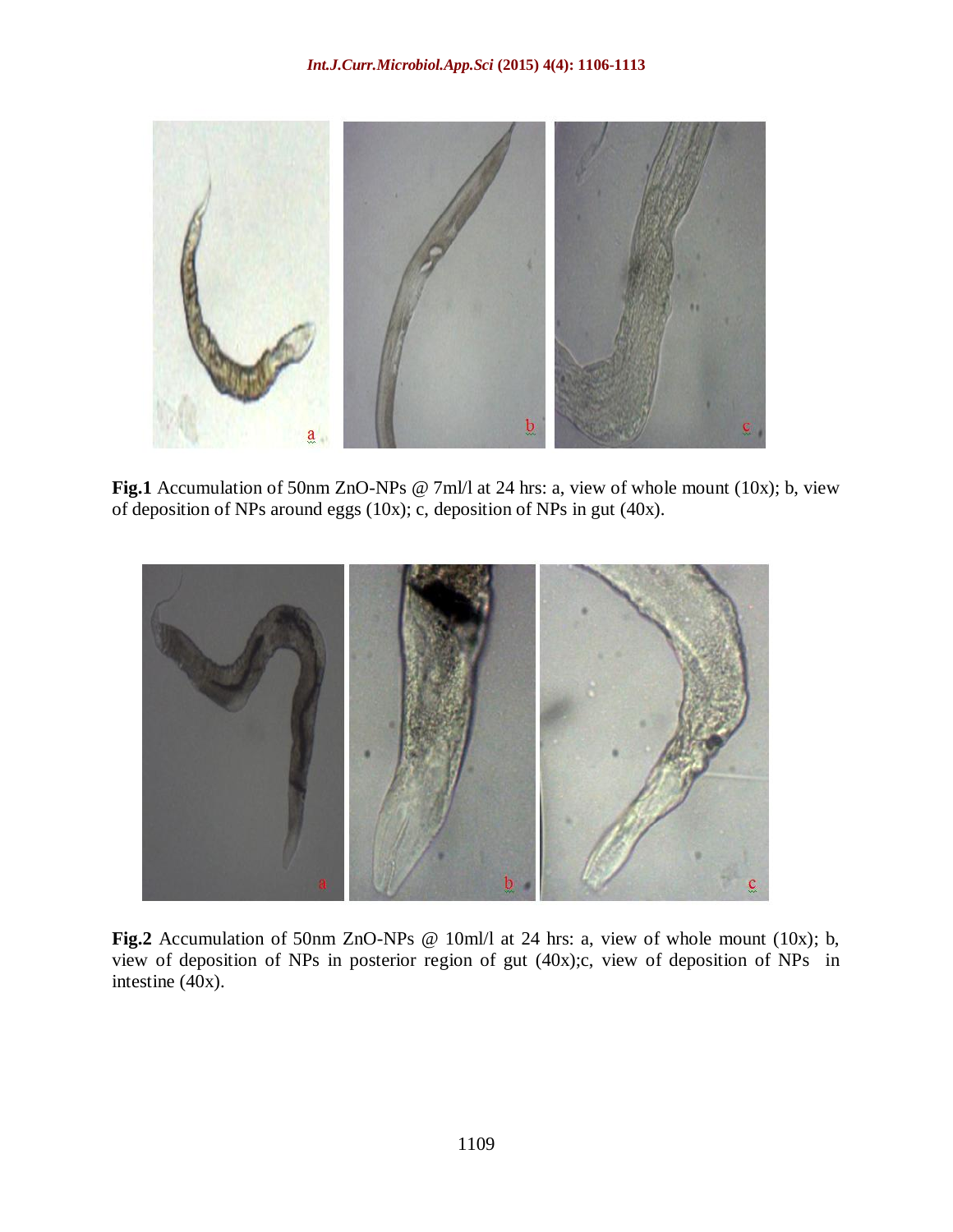

**Fig.1** Accumulation of 50nm ZnO-NPs @ 7ml/l at 24 hrs: a, view of whole mount (10x); b, view of deposition of NPs around eggs (10x); c, deposition of NPs in gut (40x).



**Fig.2** Accumulation of 50nm ZnO-NPs @ 10ml/l at 24 hrs: a, view of whole mount (10x); b, view of deposition of NPs in posterior region of gut (40x);c, view of deposition of NPs in intestine (40x).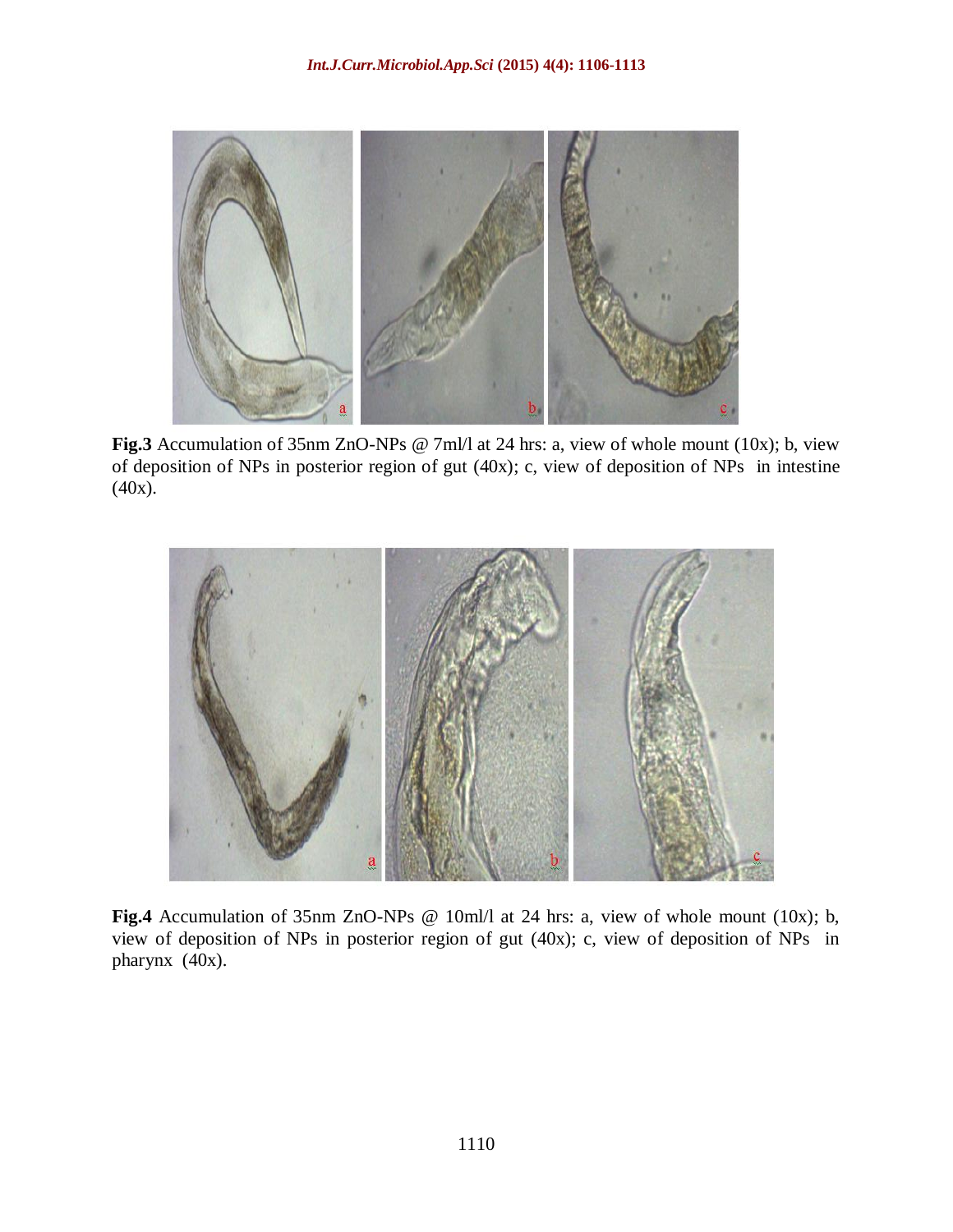

**Fig.3** Accumulation of 35nm ZnO-NPs @ 7ml/l at 24 hrs: a, view of whole mount (10x); b, view of deposition of NPs in posterior region of gut (40x); c, view of deposition of NPs in intestine  $(40x)$ .



**Fig.4** Accumulation of 35nm ZnO-NPs @ 10ml/l at 24 hrs: a, view of whole mount (10x); b, view of deposition of NPs in posterior region of gut (40x); c, view of deposition of NPs in pharynx (40x).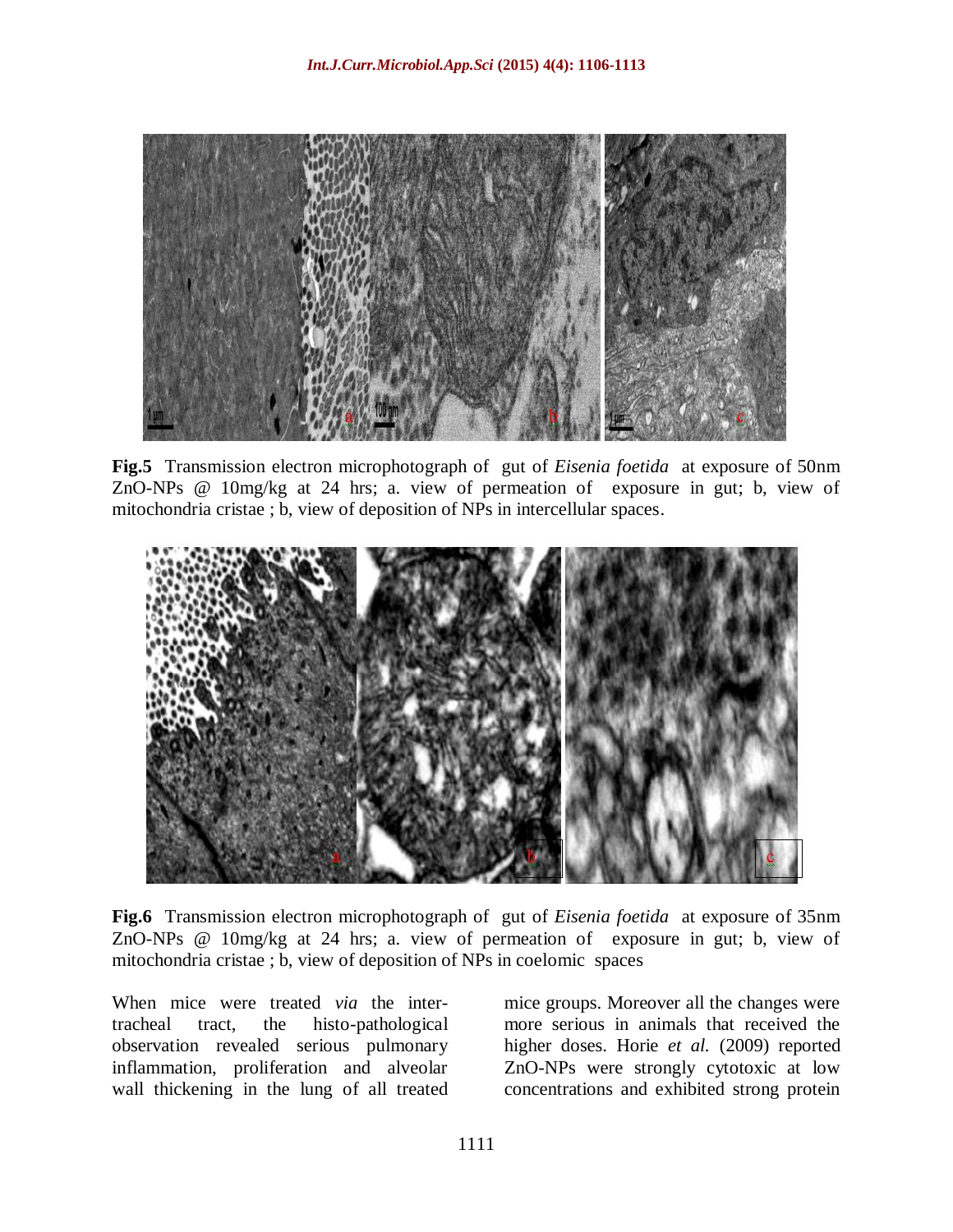

**Fig.5** Transmission electron microphotograph of gut of *Eisenia foetida* at exposure of 50nm ZnO-NPs @ 10mg/kg at 24 hrs; a. view of permeation of exposure in gut; b, view of mitochondria cristae ; b, view of deposition of NPs in intercellular spaces.



**Fig.6** Transmission electron microphotograph of gut of *Eisenia foetida* at exposure of 35nm ZnO-NPs @ 10mg/kg at 24 hrs; a. view of permeation of exposure in gut; b, view of mitochondria cristae ; b, view of deposition of NPs in coelomic spaces

When mice were treated *via* the intertracheal tract, the histo-pathological observation revealed serious pulmonary inflammation, proliferation and alveolar wall thickening in the lung of all treated

mice groups. Moreover all the changes were more serious in animals that received the higher doses. Horie *et al.* (2009) reported ZnO-NPs were strongly cytotoxic at low concentrations and exhibited strong protein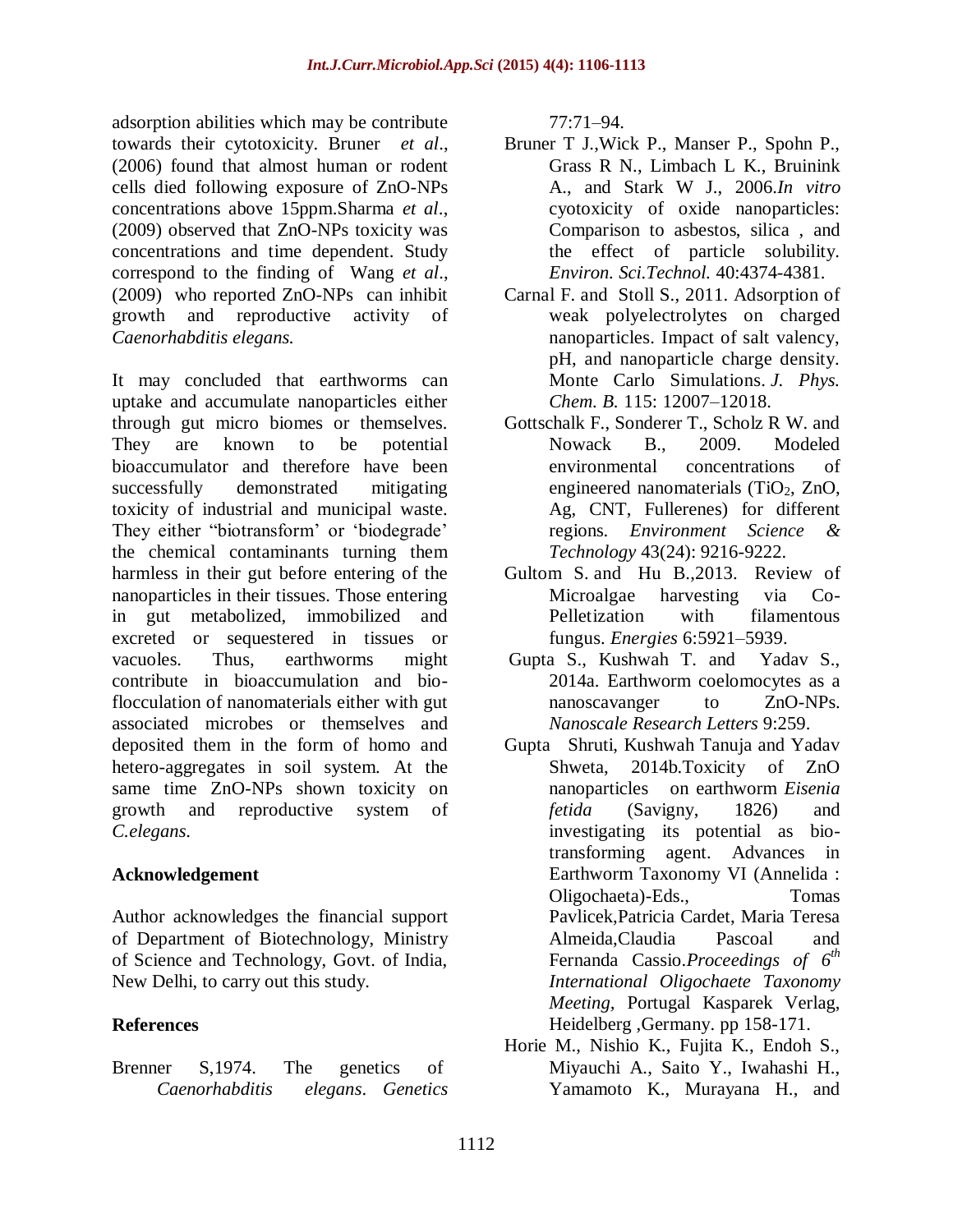adsorption abilities which may be contribute towards their cytotoxicity. Bruner *et al*., (2006) found that almost human or rodent cells died following exposure of ZnO-NPs concentrations above 15ppm.Sharma *et al*., (2009) observed that ZnO-NPs toxicity was concentrations and time dependent. Study correspond to the finding of Wang *et al*., (2009) who reported ZnO-NPs can inhibit growth and reproductive activity of *Caenorhabditis elegans.*

It may concluded that earthworms can uptake and accumulate nanoparticles either through gut micro biomes or themselves. They are known to be potential bioaccumulator and therefore have been successfully demonstrated mitigating toxicity of industrial and municipal waste. They either "biotransform' or 'biodegrade' the chemical contaminants turning them harmless in their gut before entering of the nanoparticles in their tissues. Those entering in gut metabolized, immobilized and excreted or sequestered in tissues or vacuoles. Thus, earthworms might contribute in bioaccumulation and bioflocculation of nanomaterials either with gut associated microbes or themselves and deposited them in the form of homo and hetero-aggregates in soil system. At the same time ZnO-NPs shown toxicity on growth and reproductive system of *C.elegans*.

### **Acknowledgement**

Author acknowledges the financial support of Department of Biotechnology, Ministry of Science and Technology, Govt. of India, New Delhi, to carry out this study.

### **References**

Brenner S,1974. The genetics of *Caenorhabditis elegans*. *Genetics* 77:71–94.

- Bruner T J.,Wick P., Manser P., Spohn P., Grass R N., Limbach L K., Bruinink A., and Stark W J., 2006.*In vitro* cyotoxicity of oxide nanoparticles: Comparison to asbestos, silica , and the effect of particle solubility. *Environ. Sci.Technol.* 40:4374-4381.
- Carnal F. and Stoll S., 2011. Adsorption of weak polyelectrolytes on charged nanoparticles. Impact of salt valency, pH, and nanoparticle charge density. Monte Carlo Simulations. *J. Phys. Chem. B.* 115: 12007–12018.
- Gottschalk F., Sonderer T., Scholz R W. and Nowack B., 2009. Modeled environmental concentrations of engineered nanomaterials  $(TiO<sub>2</sub>, ZnO,$ Ag, CNT, Fullerenes) for different regions. *Environment Science & Technology* 43(24): 9216-9222.
- Gultom S. and Hu B.,2013. Review of Microalgae harvesting via Co-Pelletization with filamentous fungus. *Energies* 6:5921–5939.
- Gupta S., Kushwah T. and Yadav S., 2014a. Earthworm coelomocytes as a nanoscavanger to ZnO-NPs. *Nanoscale Research Letters* 9:259.
- Gupta Shruti, Kushwah Tanuja and Yadav Shweta, 2014b.Toxicity of ZnO nanoparticles on earthworm *Eisenia fetida* (Savigny, 1826) and investigating its potential as biotransforming agent. Advances in Earthworm Taxonomy VI (Annelida : Oligochaeta)-Eds., Tomas Pavlicek,Patricia Cardet, Maria Teresa Almeida,Claudia Pascoal and Fernanda Cassio.*Proceedings of 6th International Oligochaete Taxonomy Meeting,* Portugal Kasparek Verlag, Heidelberg ,Germany. pp 158-171.
- Horie M., Nishio K., Fujita K., Endoh S., Miyauchi A., Saito Y., Iwahashi H., Yamamoto K., Murayana H., and